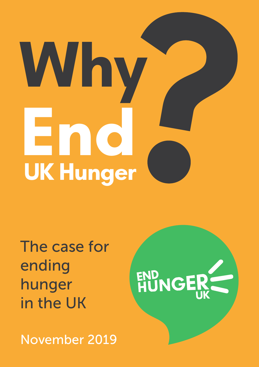# **Why End UK Hunger**

HUNGER

The case for ending hunger in the UK

November 2019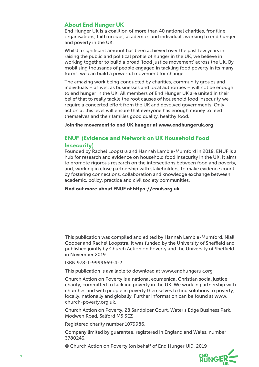### **About End Hunger UK**

End Hunger UK is a coalition of more than 40 national charities, frontline organisations, faith groups, academics and individuals working to end hunger and poverty in the UK.

Whilst a significant amount has been achieved over the past few years in raising the public and political profile of hunger in the UK, we believe in working together to build a broad 'food justice movement' across the UK. By mobilising thousands of people engaged in tackling food poverty in its many forms, we can build a powerful movement for change.

The amazing work being conducted by charities, community groups and individuals – as well as businesses and local authorities – will not be enough to end hunger in the UK. All members of End Hunger UK are united in their belief that to really tackle the root causes of household food insecurity we require a concerted effort from the UK and devolved governments. Only action at this level will ensure that everyone has enough money to feed themselves and their families good quality, healthy food.

**Join the movement to end UK hunger at www.endhungeruk.org**

### **ENUF (Evidence and Network on UK Household Food Insecurity)**

Founded by Rachel Loopstra and Hannah Lambie-Mumford in 2018, ENUF is a hub for research and evidence on household food insecurity in the UK. It aims to promote rigorous research on the intersections between food and poverty, and, working in close partnership with stakeholders, to make evidence count by fostering connections, collaboration and knowledge exchange between academic, policy, practice and civil society communities.

### **Find out more about ENUF at https://enuf.org.uk**

This publication was compiled and edited by Hannah Lambie-Mumford, Niall Cooper and Rachel Loopstra. It was funded by the University of Sheffield and published jointly by Church Action on Poverty and the University of Sheffield in November 2019.

#### ISBN 978-1-9999669-4-2

This publication is available to download at www.endhungeruk.org

Church Action on Poverty is a national ecumenical Christian social justice charity, committed to tackling poverty in the UK. We work in partnership with churches and with people in poverty themselves to find solutions to poverty, locally, nationally and globally. Further information can be found at www. church-poverty.org.uk.

Church Action on Poverty, 28 Sandpiper Court, Water's Edge Business Park, Modwen Road, Salford M5 3EZ

Registered charity number 1079986.

Company limited by guarantee, registered in England and Wales, number 3780243.

© Church Action on Poverty (on behalf of End Hunger UK), 2019

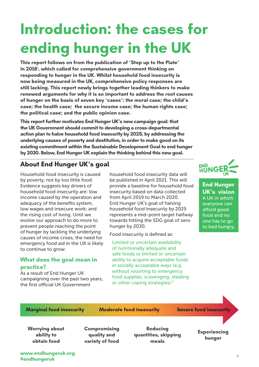# **Introduction: the cases for ending hunger in the UK**

**This report follows on from the publication of 'Step up to the Plate' in 2018**<sup>1</sup> **, which called for comprehensive government thinking on responding to hunger in the UK. Whilst household food insecurity is now being measured in the UK, comprehensive policy responses are still lacking. This report newly brings together leading thinkers to make renewed arguments for why it is so important to address the root causes of hunger on the basis of seven key 'cases': the moral case; the child's case; the health case; the secure income case; the human rights case; the political case; and the public opinion case.**

**This report further motivates End Hunger UK's new campaign goal: that the UK Government should commit to developing a cross-departmental action plan to halve household food insecurity by 2025, by addressing the underlying causes of poverty and destitution, in order to make good on its existing commitment within the Sustainable Development Goal to end hunger by 2030. Below, End Hunger UK explain the thinking behind this new goal.**

### **About End Hunger UK's goal**

Household food insecurity is caused by poverty, not by too little food. Evidence suggests key drivers of household food insecurity are: low income caused by the operation and adequacy of the benefits system, low wages and insecure work; and the rising cost of living. Until we evolve our approach to do more to prevent people reaching the point of hunger by tackling the underlying causes of income crises, the need for emergency food aid in the UK is likely to continue to grow.

### **What does the goal mean in practice?**

As a result of End Hunger UK campaigning over the past two years, the first official UK Government

household food insecurity data will be published in April 2021. This will provide a baseline for household food insecurity based on data collected from April 2019 to March 2020. End Hunger UK's goal of halving household food insecurity by 2025 represents a mid-point target halfway towards hitting the SDG goal of zero hunger by 2030.

Food insecurity is defined as:

Limited or uncertain availability of nutritionally adequate and safe foods or limited or uncertain ability to acquire acceptable foods in socially acceptable ways (e.g. without resorting to emergency food supplies, scavenging, stealing or other coping strategies).<sup>2</sup>



**End Hunger UK's vision** A UK in which everyone can afford good food and no one has to go to bed hungry.

**Marginal food insecurity Moderate food insecurity Severe food insecurity**

**Worrying about ability to obtain food**

**Compromising quality and variety of food**

**Reducing quantities, skipping meals**

**Experiencing hunger**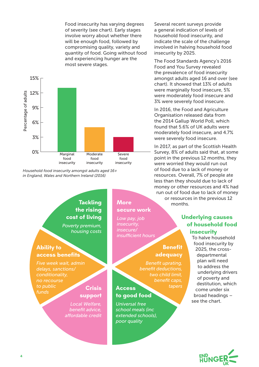Food insecurity has varying degrees of severity (see chart). Early stages involve worry about whether there will be enough food, followed by compromising quality, variety and quantity of food. Going without food and experiencing hunger are the most severe stages.



*Household food insecurity amongst adults aged 16+ in England, Wales and Northern Ireland (2016)*

### **Tackling the rising cost of living**

*Poverty premium, housing costs*

### **Ability to access benefits**

*Five week wait, admin delays, sanctions/ conditionality, no recourse to public funds*

### **support**

*Local Welfare, benefit advice, affordable credit*

### **More secure work** *Low pay, job insecurity,*

*insufficient hours*

### **Benefit adequacy**

*Benefit uprating, benefit deductions, two child limit, benefit caps, tapers* **Crisis Access** 

### **to good food**

*Universal free school meals (inc extended schools), poor quality*

Several recent surveys provide a general indication of levels of household food insecurity, and indicate the scale of the challenge involved in halving household food insecurity by 2025.

The Food Standards Agency's 2016 Food and You Survey revealed the prevalence of food insecurity amongst adults aged 16 and over (see chart). It showed that 13% of adults were marginally food insecure, 5% were moderately food insecure and 3% were severely food insecure.

In 2016, the Food and Agriculture Organisation released data from the 2014 Gallup World Poll, which found that 5.6% of UK adults were moderately food insecure, and 4.7% were severely food insecure.

In 2017, as part of the Scottish Health Survey, 8% of adults said that, at some point in the previous 12 months, they were worried they would run out of food due to a lack of money or resources. Overall, 7% of people ate less than they should due to lack of money or other resources and 4% had run out of food due to lack of money or resources in the previous 12 months.

### **Underlying causes of household food insecurity**

To halve household food insecurity by 2025, the crossdepartmental plan will need to address the underlying drivers of poverty and destitution, which come under six broad headings – see the chart.

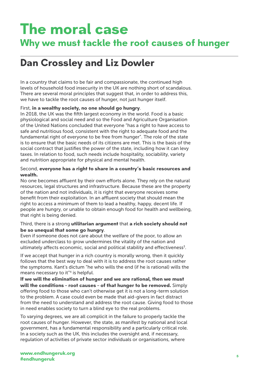# **The moral case**

### **Why we must tackle the root causes of hunger**

### **Dan Crossley and Liz Dowler**

In a country that claims to be fair and compassionate, the continued high levels of household food insecurity in the UK are nothing short of scandalous. There are several moral principles that suggest that, in order to address this, we have to tackle the root causes of hunger, not just hunger itself.

### First, **in a wealthy society, no one should go hungry**.

In 2018, the UK was the fifth largest economy in the world. Food is a basic physiological and social need and so the Food and Agriculture Organisation of the United Nations concluded that everyone "has a right to have access to safe and nutritious food, consistent with the right to adequate food and the fundamental right of everyone to be free from hunger". The role of the state is to ensure that the basic needs of its citizens are met. This is the basis of the social contract that justifies the power of the state, including how it can levy taxes. In relation to food, such needs include hospitality, sociability, variety and nutrition appropriate for physical and mental health.

#### Second, **everyone has a right to share in a country's basic resources and wealth.**

No one becomes affluent by their own efforts alone. They rely on the natural resources, legal structures and infrastructure. Because these are the property of the nation and not individuals, it is right that everyone receives some benefit from their exploitation. In an affluent society that should mean the right to access a minimum of them to lead a healthy, happy, decent life. If people are hungry, or unable to obtain enough food for health and wellbeing, that right is being denied.

### Third, there is a strong **utilitarian argument** that **a rich society should not be so unequal that some go hungry**.

Even if someone does not care about the welfare of the poor, to allow an excluded underclass to grow undermines the vitality of the nation and ultimately affects economic, social and political stability and effectiveness<sup>3</sup>.

If we accept that hunger in a rich country is morally wrong, then it quickly follows that the best way to deal with it is to address the root causes rather the symptoms. Kant's dictum "he who wills the end (if he is rational) wills the means necessary to it"4 is helpful.

**If we will the elimination of hunger and we are rational, then we must will the conditions – root causes – of that hunger to be removed.** Simply offering food to those who can't otherwise get it is not a long-term solution to the problem. A case could even be made that aid-givers in fact distract from the need to understand and address the root cause. Giving food to those in need enables society to turn a blind eye to the real problems.

To varying degrees, we are all complicit in the failure to properly tackle the root causes of hunger. However, the state, as manifest by national and local government, has a fundamental responsibility and a particularly critical role. In a society such as the UK, this includes the oversight and, if necessary, regulation of activities of private sector individuals or organisations, where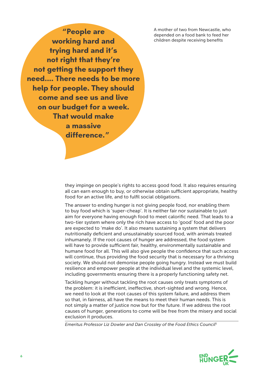A mother of two from Newcastle, who depended on a food bank to feed her children despite receiving benefits

**"People are working hard and trying hard and it's not right that they're not getting the support they need.... There needs to be more help for people. They should come and see us and live on our budget for a week. That would make a massive difference."**

> they impinge on people's rights to access good food. It also requires ensuring all can earn enough to buy, or otherwise obtain sufficient appropriate, healthy food for an active life, and to fulfil social obligations.

> The answer to ending hunger is not giving people food, nor enabling them to buy food which is 'super-cheap'. It is neither fair nor sustainable to just aim for everyone having enough food to meet calorific need. That leads to a two-tier system where only the rich have access to 'good' food and the poor are expected to 'make do'. It also means sustaining a system that delivers nutritionally deficient and unsustainably sourced food, with animals treated inhumanely. If the root causes of hunger are addressed, the food system will have to provide sufficient fair, healthy, environmentally sustainable and humane food for all. This will also give people the confidence that such access will continue, thus providing the food security that is necessary for a thriving society. We should not demonise people going hungry. Instead we must build resilience and empower people at the individual level and the systemic level, including governments ensuring there is a properly functioning safety net.

> Tackling hunger without tackling the root causes only treats symptoms of the problem: it is inefficient, ineffective, short-sighted and wrong. Hence, we need to look at the root causes of this system failure, and address them so that, in fairness, all have the means to meet their human needs. This is not simply a matter of justice now but for the future. If we address the root causes of hunger, generations to come will be free from the misery and social exclusion it produces.

*Emeritus Professor Liz Dowler and Dan Crossley of the Food Ethics Council*<sup>5</sup>

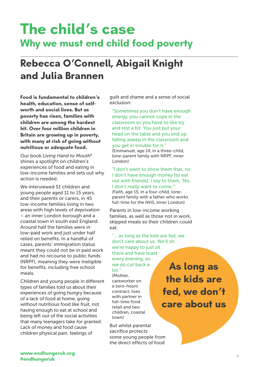# **The child's case Why we must end child food poverty**

## **Rebecca O'Connell, Abigail Knight and Julia Brannen**

**Food is fundamental to children's health, education, sense of selfworth and social lives. But as poverty has risen, families with children are among the hardest hit. Over four million children in Britain are growing up in poverty, with many at risk of going without nutritious or adequate food.** 

Our book *Living Hand to Mouth*<sup>6</sup> shines a spotlight on children's experiences of food and eating in low-income families and sets out why action is needed.

We interviewed 51 children and young people aged 11 to 15 years, and their parents or carers, in 45 low-income families living in two areas with high levels of deprivation – an inner London borough and a coastal town in south east England. Around half the families were in low-paid work and just under half relied on benefits. In a handful of cases, parents' immigration status meant they could not be in paid work and had no recourse to public funds (NRPF), meaning they were ineligible for benefits, including free school meals.

Children and young people in different types of families told us about their experiences of going hungry because of a lack of food at home, going without nutritious food like fruit, not having enough to eat at school and being left out of the social activities that many teenagers take for granted. Lack of money and food cause children physical pain, feelings of

guilt and shame and a sense of social exclusion:

"Sometimes you don't have enough energy, you cannot cope in the classroom so you have to like try and rest a bit. You just put your head on the table and you end up falling asleep in the classroom and you get in trouble for it." (Emmanuel, age 14, in a three-child, lone-parent family with NRPF, inner London)

"I don't want to show them that, no I don't have enough money [to eat out with friends]. I say to them, 'No, I don't really want to come.'" *(*Faith, age 15, in a four-child, loneparent family with a father who works full-time for the NHS, inner London)

Parents in low-income working families, as well as those not in work, skipped meals so their children could eat:

"… as long as the kids are fed, we don't care about us. We'll sit,

we're happy to just sit there and have toast every evening, so we do cut back a lot." (Mother, careworker on a zero-hours contract, lives with partner in full-time food retail and two children, coastal town)

But whilst parental sacrifice protects some young people from the direct effects of food

**As long as the kids are fed, we don't care about us**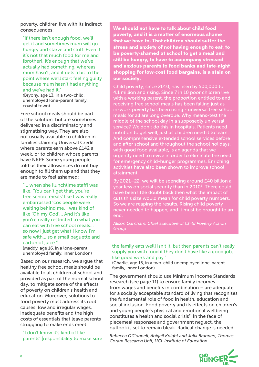poverty, children live with its indirect consequences:

"If there isn't enough food, we'll get it and sometimes mum will go hungry and starve and stuff. Even if it's not that much food for me and [brother], it's enough that we've actually had something, whereas mum hasn't, and it gets a bit to the point where we'll start feeling guilty because mum hasn't had anything and we've had it."

*(*Bryony, age 13, in a two-child, unemployed lone-parent family, coastal town)

Free school meals should be part of the solution, but are sometimes delivered in a discriminatory and stigmatising way. They are also not usually available to children in families claiming Universal Credit where parents earn above £142 a week, or to children whose parents have NRPF. Some young people told us their allowances do not buy enough to fill them up and that they are made to feel ashamed:

"… when she [lunchtime staff] was like, 'You can't get that, you're free school meals' like I was really embarrassed 'cos people were waiting behind me, I was kind of like 'Oh my God'… And it's like you're really restricted to what you can eat with free school meals… so now I just get what I know I'm safe with… so a small baguette and carton of juice."

(Maddy, age 16, in a lone-parent unemployed family, inner London)

Based on our research, we argue that healthy free school meals should be available to all children at school and provided as part of the normal school day, to mitigate some of the effects of poverty on children's health and education. Moreover, solutions to food poverty must address its root causes: low and irregular wages, inadequate benefits and the high costs of essentials that leave parents struggling to make ends meet:

"I don't know it's kind of like parents' [responsibility to make sure **We should not have to talk about child food poverty, and it is a matter of enormous shame that we have to. That children should suffer the stress and anxiety of not having enough to eat, to be poverty-shamed at school to get a meal and still be hungry, to have to accompany stressed and anxious parents to food banks and late-night shopping for low-cost food bargains, is a stain on our society.** 

Child poverty, since 2010, has risen by 500,000 to 4.1 million and rising. Since 7 in 10 poor children live with a working parent, the proportion entitled to and receiving free school meals has been falling just as in-work poverty has been rising - universal free school meals for all are long overdue. Why means-test the middle of the school day in a supposedly universal service? We don't do this in hospitals. Patients need nutrition to get well, just as children need it to learn. And comprehensive extended school services before and after school and throughout the school holidays, with good food available, is an agenda that we urgently need to revive in order to eliminate the need for emergency child-hunger programmes. Enriching activities have also been shown to improve school attainment.

By 2021–22, we will be spending around £40 billion a year less on social security than in 2010<sup>8</sup>. There could have been little doubt back then what the impact of cuts this size would mean for child poverty numbers. So we are reaping the results. Rising child poverty never needed to happen, and it must be brought to an end.

*Group*

#### the family eats well] isn't it, but then parents can't really supply you with food if they don't have like a good job, like good work and pay."

(Charlie, age 15, in a two-child unemployed lone-parent family, inner London)

The government should use Minimum Income Standards research (see page 11) to ensure family incomes – from wages and benefits in combination – are adequate for a socially acceptable standard of living that recognises the fundamental role of food in health, education and social inclusion. Food poverty and its effects on children's and young people's physical and emotional wellbeing constitutes a health and social crisis<sup>7</sup>. In the face of piecemeal responses and government neglect, the outlook is set to remain bleak. Radical change is needed.

*Rebecca O'Connell, Abigail Knight and Julia Brannen, Thomas Coram Research Unit, UCL Institute of Education* 

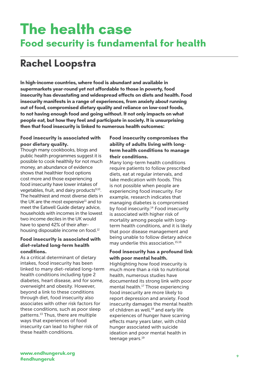# **The health case Food security is fundamental for health**

### **Rachel Loopstra**

**In high-income countries, where food is abundant and available in supermarkets year-round yet not affordable to those in poverty, food insecurity has devastating and widespread effects on diets and health. Food insecurity manifests in a range of experiences, from anxiety about running out of food, compromised dietary quality and reliance on low-cost foods, to not having enough food and going without. It not only impacts on what people eat, but how they feel and participate in society. It is unsurprising then that food insecurity is linked to numerous health outcomes:** 

### **Food insecurity is associated with poor dietary quality.**

Though many cookbooks, blogs and public health programmes suggest it is possible to cook healthily for not much money, an abundance of evidence shows that healthier food options cost more and those experiencing food insecurity have lower intakes of vegetables, fruit, and dairy products<sup>9,10</sup>. The healthiest and most diverse diets in the UK are the most expensive $11$  and to meet the Eatwell Guide dietary advice, households with incomes in the lowest two income deciles in the UK would have to spend 42% of their afterhousing disposable income on food.12

#### **Food insecurity is associated with diet-related long-term health conditions.**

As a critical determinant of dietary intakes, food insecurity has been linked to many diet-related long-term health conditions including type 2 diabetes, heart disease, and for some, overweight and obesity. However, beyond a link to these conditions through diet, food insecurity also associates with other risk factors for these conditions, such as poor sleep patterns.<sup>13</sup> Thus, there are multiple ways that experiences of food insecurity can lead to higher risk of these health conditions.

### **Food insecurity compromises the ability of adults living with longterm health conditions to manage their conditions.**

Many long-term health conditions require patients to follow prescribed diets, eat at regular intervals, and take medication with foods. This is not possible when people are experiencing food insecurity. For example, research indicates that managing diabetes is compromised by food insecurity.<sup>14</sup> Food insecurity is associated with higher risk of mortality among people with longterm health conditions, and it is likely that poor disease management and being unable to follow dietary advice may underlie this association.15,16

### **Food insecurity has a profound link with poor mental health.**

Highlighting how food insecurity is much more than a risk to nutritional health, numerous studies have documented its strong link with poor mental health.17 Those experiencing food insecurity are more likely to report depression and anxiety. Food insecurity damages the mental health of children as well,<sup>18</sup> and early life experiences of hunger have scarring effects many years later, with child hunger associated with suicide ideation and poor mental health in teenage years.<sup>19</sup>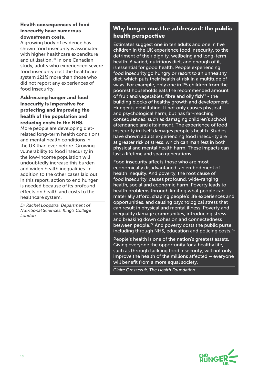### **Health consequences of food insecurity have numerous downstream costs.**

A growing body of evidence has shown food insecurity is associated with higher healthcare expenditure and utilisation.<sup>20</sup> In one Canadian study, adults who experienced severe food insecurity cost the healthcare system 121% more than those who did not report any experiences of food insecurity.

**Addressing hunger and food insecurity is imperative for protecting and improving the health of the population and reducing costs to the NHS.**  More people are developing dietrelated long-term health conditions and mental health conditions in the UK than ever before. Growing vulnerability to food insecurity in the low-income population will

undoubtedly increase this burden and widen health inequalities. In addition to the other cases laid out in this report, action to end hunger is needed because of its profound effects on health and costs to the healthcare system.

*Dr Rachel Loopstra, Department of Nutritional Sciences, King's College London*

### **Why hunger must be addressed: the public health perspective**

Estimates suggest one in ten adults and one in five children in the UK experience food insecurity, to the detriment of their dignity, wellbeing and long-term health. A varied, nutritious diet, and enough of it, is essential for good health. People experiencing food insecurity go hungry or resort to an unhealthy diet, which puts their health at risk in a multitude of ways. For example, only one in 25 children from the poorest households eats the recommended amount of fruit and vegetables, fibre and oily fish $^{21}$  - the building blocks of healthy growth and development. Hunger is debilitating. It not only causes physical and psychological harm, but has far-reaching consequences, such as damaging children's school attendance and attainment. The experience of food insecurity in itself damages people's health. Studies have shown adults experiencing food insecurity are at greater risk of stress, which can manifest in both physical and mental health harm. These impacts can last a lifetime and span generations.

Food insecurity affects those who are most economically disadvantaged: an embodiment of health inequity. And poverty, the root cause of food insecurity, causes profound, wide-ranging health, social and economic harm. Poverty leads to health problems through limiting what people can materially afford, shaping people's life experiences and opportunities, and causing psychological stress that can result in physical and mental illness. Poverty and inequality damage communities, introducing stress and breaking down cohesion and connectedness between people.<sup>22</sup> And poverty costs the public purse, including through NHS, education and policing costs. $23$ 

People's health is one of the nation's greatest assets. Giving everyone the opportunity for a healthy life, such as through tackling food insecurity, will not only improve the health of the millions affected – everyone will benefit from a more equal society.

*Claire Greszczuk, The Health Foundation*

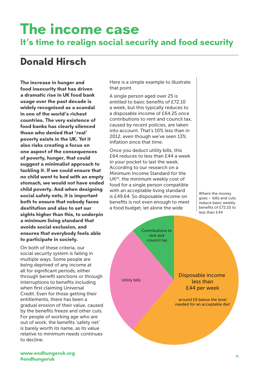# **The income case It's time to realign social security and food security**

### **Donald Hirsch**

**The increase in hunger and food insecurity that has driven a dramatic rise in UK food bank usage over the past decade is widely recognised as a scandal in one of the world's richest countries. The very existence of food banks has clearly silenced those who denied that 'real' poverty exists in the UK. Yet it also risks creating a focus on one aspect of the consequences of poverty, hunger, that could suggest a minimalist approach to tackling it. If we could ensure that no child went to bed with an empty stomach, we would not have ended child poverty. And when designing social safety nets, it is important both to ensure that nobody faces destitution and also to set our sights higher than this, to underpin a minimum living standard that avoids social exclusion, and ensures that everybody feels able to participate in society.**

On both of these criteria, our social security system is failing in multiple ways. Some people are being deprived of any income at all for significant periods, either through benefit sanctions or through interruptions to benefits including when first claiming Universal Credit. Even for those getting their entitlements, there has been a gradual erosion of their value, caused by the benefits freeze and other cuts. For people of working age who are out of work, the benefits 'safety net' is barely worth its name, as its value relative to minimum needs continues to decline.

Here is a simple example to illustrate that point.

A single person aged over 25 is entitled to basic benefits of £72.10 a week, but this typically reduces to a disposable income of £64.25 once contributions to rent and council tax, caused by recent policies, are taken into account. That's 10% less than in 2012, even though we've seen 13% inflation since that time.

Once you deduct utility bills, this £64 reduces to less than £44 a week in your pocket to last the week. According to our research on a Minimum Income Standard for the UK24, the minimum weekly cost of food for a single person compatible with an acceptable living standard is £49.64. So disposable income on benefits is not even enough to meet a food budget, let alone the wide

Where the money goes – bills and cuts reduce basic weekly benefits of £72.10 to less than £44

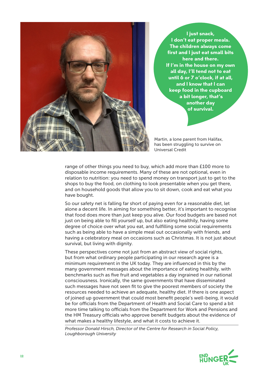

**I just snack, I don't eat proper meals. The children always come first and I just eat small bits here and there. If I'm in the house on my own all day, I'll tend not to eat until 6 or 7 o'clock, if at all, and I know that I can keep food in the cupboard a bit longer, that's another day of survival.**

Martin, a lone parent from Halifax, has been struggling to survive on Universal Credit

range of other things you need to buy, which add more than £100 more to disposable income requirements. Many of these are not optional, even in relation to nutrition: you need to spend money on transport just to get to the shops to buy the food, on clothing to look presentable when you get there, and on household goods that allow you to sit down, cook and eat what you have bought.

So our safety net is falling far short of paying even for a reasonable diet, let alone a decent life. In aiming for something better, it's important to recognise that food does more than just keep you alive. Our food budgets are based not just on being able to fill yourself up, but also eating healthily, having some degree of choice over what you eat, and fulfilling some social requirements such as being able to have a simple meal out occasionally with friends, and having a celebratory meal on occasions such as Christmas. It is not just about survival, but living with dignity.

These perspectives come not just from an abstract view of social rights, but from what ordinary people participating in our research agree is a minimum requirement in the UK today. They are influenced in this by the many government messages about the importance of eating healthily, with benchmarks such as five fruit and vegetables a day ingrained in our national consciousness. Ironically, the same governments that have disseminated such messages have not seen fit to give the poorest members of society the resources needed to achieve an adequate, healthy diet. If there is one aspect of joined up government that could most benefit people's well-being, it would be for officials from the Department of Health and Social Care to spend a bit more time talking to officials from the Department for Work and Pensions and the HM Treasury officials who approve benefit budgets about the evidence of what makes a healthy lifestyle, and what it costs to achieve it.

*Professor Donald Hirsch, Director of the Centre for Research in Social Policy, Loughborough University*

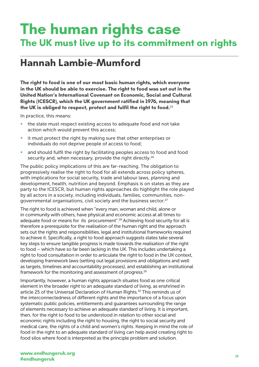# **The human rights case The UK must live up to its commitment on rights**

### **Hannah Lambie-Mumford**

**The right to food is one of our most basic human rights, which everyone in the UK should be able to exercise. The right to food was set out in the United Nation's International Covenant on Economic, Social and Cultural Rights (ICESCR), which the UK government ratified in 1976, meaning that the UK is obliged to respect, protect and fulfil the right to food.**<sup>25</sup>

In practice, this means:

- the state must respect existing access to adequate food and not take action which would prevent this access;
- it must protect the right by making sure that other enterprises or individuals do not deprive people of access to food;
- and should fulfil the right by facilitating peoples access to food and food security and, when necessary, provide the right directly.<sup>26</sup>

The public policy implications of this are far-reaching. The obligation to progressively realise the right to food for all extends across policy spheres, with implications for social security, trade and labour laws, planning and development, health, nutrition and beyond. Emphasis is on states as they are party to the ICESCR, but human rights approaches do highlight the role played by all actors in a society, including individuals, families, communities, nongovernmental organisations, civil society and the business sector.<sup>27</sup>

The right to food is achieved when "every man, woman and child, alone or in community with others, have physical and economic access at all times to adequate food or means for its procurement".<sup>28</sup> Achieving food security for all is therefore a prerequisite for the realisation of the human right and the approach sets out the rights and responsibilities, legal and institutional frameworks required to achieve it. Specifically, a right to food approach suggests states take several key steps to ensure tangible progress is made towards the realisation of the right to food – which have so far been lacking in the UK. This includes undertaking a right to food consultation in order to articulate the right to food in the UK context, developing framework laws (setting out legal provisions and obligations and well as targets, timelines and accountability processes), and establishing an institutional framework for the monitoring and assessment of progress.<sup>29</sup>

Importantly, however, a human rights approach situates food as one critical element in the broader right to an adequate standard of living, as enshrined in article 25 of the Universal Declaration of Human Rights.<sup>30</sup> This reminds us of the interconnectedness of different rights and the importance of a focus upon systematic public policies, entitlements and guarantees surrounding the range of elements necessary to achieve an adequate standard of living. It is important, then, for the right to food to be understood in relation to other social and economic rights including the right to housing, the right to social security and medical care, the rights of a child and women's rights. Keeping in mind the role of food in the right to an adequate standard of living can help avoid creating right to food silos where food is interpreted as the principle problem and solution.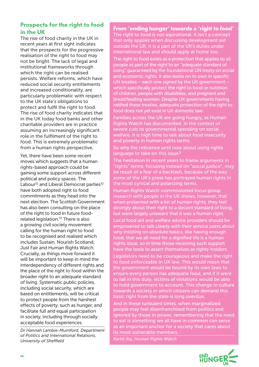### **Prospects for the right to food in the UK**

The rise of food charity in the UK in recent years at first sight indicates that the prospects for the progressive realisation of the right to food may not be bright. The lack of legal and institutional frameworks through which the right can be realised persists. Welfare reforms, which have reduced social security entitlements and increased conditionality, are particularly problematic with respect to the UK state's obligations to protect and fulfil the right to food. The rise of food charity indicates that in the UK today food banks and other charitable providers are in practice assuming an increasingly significant role in the fulfilment of the right to food. This is extremely problematic from a human rights perspective.

Yet, there have been some recent moves which suggests that a human rights-based approach could be gaining some support across different political and policy spaces. The Labour<sup>31</sup> and Liberal Democrat parties<sup>32</sup> have both adopted right to food commitments as they head into the next election. The Scottish Government has also been consulting on the place of the right to food in future foodrelated legislation.<sup>33</sup> There is also a growing civil society movement calling for the human right to food to be recognised and realised which includes Sustain, Nourish Scotland, Just Fair and Human Rights Watch. Crucially, as things move forward it will be important to keep in mind the interdependency of different rights and the place of the right to food within the broader right to an adequate standard of living. Systematic public policies, including social security, which are based on entitlements, will be critical to protect people from the harshest effects of poverty, such as hunger, and facilitate full and equal participation in society, including through socially acceptable food experiences.

*Dr Hannah Lambie-Mumford, Department of Politics and International Relations, University of Sheffield*

**From 'ending hunger' towards a 'right to food'** The right to food is not aspirational. It isn't a concept that only applies when discussing development aid outside the UK. It is a part of the UK's duties under international law and should apply at home too.

The right to food exists as a protection that applies to all people as part of the right to an "adequate standard of living" guaranteed by the foundational UN treaty on social and economic rights. It also exists on its own in specific UN treaties – each one signed by the UK government – which specifically protect the right to food or nutrition of children, people with disabilities, and pregnant and breastfeeding women. Despite UK governments having ratified these treaties, adequate protection of the right to food does not yet exist in UK domestic law.

Families across the UK are going hungry, as Human Rights Watch has documented, in the context of severe cuts to governmental spending on social welfare. It is high time to talk about food insecurity and poverty in human rights terms.

So why the reticence until now about using rights language to take on this issue?

The hesitation in recent years to frame arguments in "rights" terms, focusing instead on "social justice", may be result of a fear of a backlash, because of the way some of the UK's press has portrayed human rights in the most cynical and polarizing terms.

Human Rights Watch-commissioned focus group research with people in the UK shows, however, that when presented with a list of human rights, they feel strongly about their right to a decent standard of living, but were largely unaware that it was a human right.

Local food aid and welfare advice providers should be empowered to talk clearly with their service users about why insisting on absolute basics, like having enough food, that we all need for a dignified life is a human rights issue, so in time those receiving such support have the tools to assert themselves as rights-holders.

Legislators need to be courageous and make the right to food enforceable in UK law. This would mean that the government would be bound by its own laws to ensure every person has adequate food, and if it were to fail in this duty, victims of violations would be able to hold government to account. This change in culture towards a society in which citizens can demand this basic right from the state is long overdue.

And in these turbulent times, when marginalized people may feel disenfranchised from politics and ignored by those in power, remembering that the need to eat is something we all have in common can serve as an important anchor for a society that cares about its most vulnerable members.

*Kartik Raj, Human Rights Watch*

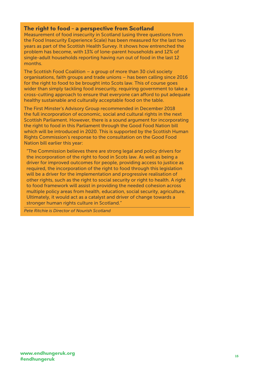### **The right to food – a perspective from Scotland**

Measurement of food insecurity in Scotland (using three questions from the Food Insecurity Experience Scale) has been measured for the last two years as part of the Scottish Health Survey. It shows how entrenched the problem has become, with 13% of lone-parent households and 12% of single-adult households reporting having run out of food in the last 12 months.

The Scottish Food Coalition – a group of more than 30 civil society organisations, faith groups and trade unions – has been calling since 2016 for the right to food to be brought into Scots law. This of course goes wider than simply tackling food insecurity, requiring government to take a cross-cutting approach to ensure that everyone can afford to put adequate healthy sustainable and culturally acceptable food on the table.

The First Minster's Advisory Group recommended in December 2018 the full incorporation of economic, social and cultural rights in the next Scottish Parliament. However, there is a sound argument for incorporating the right to food in this Parliament through the Good Food Nation bill which will be introduced in 2020. This is supported by the Scottish Human Rights Commission's response to the consultation on the Good Food Nation bill earlier this year:

"The Commission believes there are strong legal and policy drivers for the incorporation of the right to food in Scots law. As well as being a driver for improved outcomes for people, providing access to justice as required, the incorporation of the right to food through this legislation will be a driver for the implementation and progressive realisation of other rights, such as the right to social security or right to health. A right to food framework will assist in providing the needed cohesion across multiple policy areas from health, education, social security, agriculture. Ultimately, it would act as a catalyst and driver of change towards a stronger human rights culture in Scotland."

*Pete Ritchie is Director of Nourish Scotland*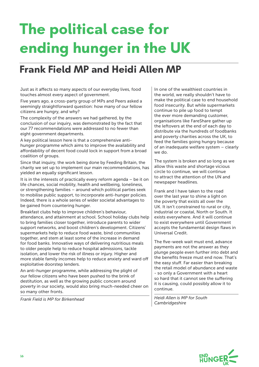# **The political case for ending hunger in the UK**

### **Frank Field MP and Heidi Allen MP**

Just as it affects so many aspects of our everyday lives, food touches almost every aspect of government.

Five years ago, a cross-party group of MPs and Peers asked a seemingly straightforward question: how many of our fellow citizens are hungry, and why?

The complexity of the answers we had gathered, by the conclusion of our inquiry, was demonstrated by the fact that our 77 recommendations were addressed to no fewer than eight government departments.

A key political lesson here is that a comprehensive antihunger programme which aims to improve the availability and affordability of decent food could lock in support from a broad coalition of groups.

Since that inquiry, the work being done by Feeding Britain, the charity we set up to implement our main recommendations, has yielded an equally significant lesson.

It is in the interests of practically every reform agenda – be it on life chances, social mobility, health and wellbeing, loneliness, or strengthening families – around which political parties seek to mobilise public support, to incorporate anti-hunger policies. Indeed, there is a whole series of wider societal advantages to be gained from countering hunger.

Breakfast clubs help to improve children's behaviour, attendance, and attainment at school. School holiday clubs help to bring families closer together, introduce parents to wider support networks, and boost children's development. Citizens' supermarkets help to reduce food waste, bind communities together, and stem at least some of the increase in demand for food banks. Innovative ways of delivering nutritious meals to older people help to reduce hospital admissions, tackle isolation, and lower the risk of illness or injury. Higher and more stable family incomes help to reduce anxiety and ward off exploitative doorstep lenders.

An anti-hunger programme, while addressing the plight of our fellow citizens who have been pushed to the brink of destitution, as well as the growing public concern around poverty in our society, would also bring much-needed cheer on so many other fronts.

*Frank Field is MP for Birkenhead*

In one of the wealthiest countries in the world, we really shouldn't have to make the political case to end household food insecurity. But while supermarkets continue to pile up food to tempt the ever more demanding customer, organisations like FareShare gather up the leftovers at the end of each day to distribute via the hundreds of foodbanks and poverty charities across the UK, to feed the families going hungry because of an inadequate welfare system – clearly we do.

The system is broken and so long as we allow this waste and shortage vicious circle to continue, we will continue to attract the attention of the UN and newspaper headlines.

Frank and I have taken to the road over the last year to shine a light on the poverty that exists all over the UK. It isn't constrained to rural or city, industrial or coastal, North or South. It exists everywhere. And it will continue to exist everywhere until Government accepts the fundamental design flaws in Universal Credit.

The five-week wait must end, advance payments are not the answer as they plunge people even further into debt and the benefits freeze must end now. That's the easy stuff. Far easier than breaking the retail model of abundance and waste - so only a Government with a heart so hard that it cannot see the suffering it is causing, could possibly allow it to continue.

*Heidi Allen is MP for South Cambridgeshire*

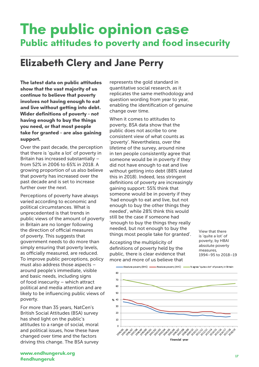# **The public opinion case Public attitudes to poverty and food insecurity**

change over time.

### **Elizabeth Clery and Jane Perry**

**The latest data on public attitudes show that the vast majority of us continue to believe that poverty involves not having enough to eat and live without getting into debt. Wider definitions of poverty – not having enough to buy the things you need, or that most people take for granted – are also gaining support.**

Over the past decade, the perception that there is 'quite a lot' of poverty in Britain has increased substantially – from 52% in 2006 to 65% in 2018. A growing proportion of us also believe that poverty has increased over the past decade and is set to increase further over the next.

Perceptions of poverty have always varied according to economic and political circumstances. What is unprecedented is that trends in public views of the amount of poverty in Britain are no longer following the direction of official measures of poverty. This suggests that government needs to do more than simply ensuring that poverty levels, as officially measured, are reduced. To improve public perceptions, policy must also address those aspects – around people's immediate, visible and basic needs, including signs of food insecurity – which attract political and media attention and are likely to be influencing public views of poverty.

For more than 35 years, NatCen's British Social Attitudes (BSA) survey has shed light on the public's attitudes to a range of social, moral and political issues, how these have changed over time and the factors driving this change. The BSA survey represents the gold standard in quantitative social research, as it replicates the same methodology and question wording from year to year, enabling the identification of genuine

When it comes to attitudes to poverty, BSA data show that the public does not ascribe to one consistent view of what counts as 'poverty'. Nevertheless, over the lifetime of the survey, around nine in ten people consistently agree that someone would be in poverty if they did not have enough to eat and live without getting into debt (88% stated this in 2018). Indeed, less stringent definitions of poverty are increasingly gaining support: 55% think that someone would be in poverty if they 'had enough to eat and live, but not enough to buy the other things they needed', while 28% think this would still be the case if someone had 'enough to buy the things they really needed, but not enough to buy the things most people take for granted'.

Accepting the multiplicity of definitions of poverty held by the public, there is clear evidence that more and more of us believe that

View that there is 'quite a lot' of poverty, by HBAI absolute poverty measures, 1994–95 to 2018–19

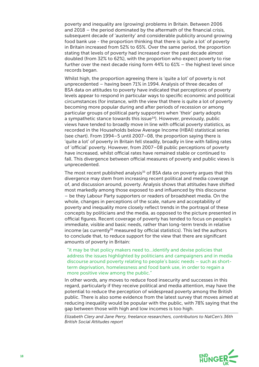poverty and inequality are (growing) problems in Britain. Between 2006 and 2018 – the period dominated by the aftermath of the financial crisis, subsequent decade of 'austerity' and considerable publicity around growing food bank use - the proportion thinking that there is 'quite a lot' of poverty in Britain increased from 52% to 65%. Over the same period, the proportion stating that levels of poverty had increased over the past decade almost doubled (from 32% to 62%), with the proportion who expect poverty to rise further over the next decade rising form 44% to 61% – the highest level since records began.

Whilst high, the proportion agreeing there is 'quite a lot' of poverty is not unprecedented – having been 71% in 1994. Analysis of three decades of BSA data on attitudes to poverty have indicated that perceptions of poverty levels appear to respond in particular ways to specific economic and political circumstances (for instance, with the view that there is quite a lot of poverty becoming more popular during and after periods of recession or among particular groups of political party supporters when 'their' party adopts a sympathetic stance towards this issue<sup>34</sup>). However, previously, public views have tended to broadly move in line with official poverty statistics, as recorded in the Households below Average Income (HBAI) statistical series (see chart). From 1994–5 until 2007–08, the proportion saying there is 'quite a lot' of poverty in Britain fell steadily, broadly in line with falling rates of 'official' poverty. However, from 2007–08 public perceptions of poverty have increased, whilst official rates have remained stable or continued to fall. This divergence between official measures of poverty and public views is unprecedented.

The most recent published analysis $35$  of BSA data on poverty argues that this divergence may stem from increasing recent political and media coverage of, and discussion around, poverty. Analysis shows that attitudes have shifted most markedly among those exposed to and influenced by this discourse – be they Labour Party supporters or readers of broadsheet media. On the whole, changes in perceptions of the scale, nature and acceptability of poverty and inequality more closely reflect trends in the portrayal of these concepts by politicians and the media, as opposed to the picture presented in official figures. Recent coverage of poverty has tended to focus on people's immediate, visible and basic needs, rather than long-term trends in relative income (as currently<sup>36</sup> measured by official statistics). This led the authors to conclude that, to reduce support for the view that there are significant amounts of poverty in Britain:

"it may be that policy makers need to…identify and devise policies that address the issues highlighted by politicians and campaigners and in media discourse around poverty relating to people's basic needs – such as shortterm deprivation, homelessness and food bank use, in order to regain a more positive view among the public."

In other words, any moves to reduce food insecurity and successes in this regard, particularly if they receive political and media attention, may have the potential to reduce the perception of widespread poverty among the British public. There is also some evidence from the latest survey that moves aimed at reducing inequality would be popular with the public, with 78% saying that the gap between those with high and low incomes is too high.

*Elizabeth Clery and Jane Perry, freelance researchers, contributors to NatCen's 36th British Social Attitudes report*

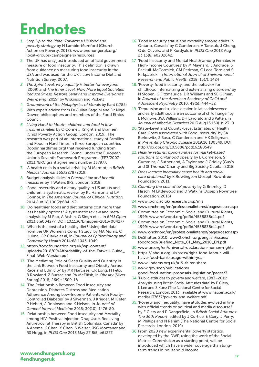# **Endnotes**

- *1. Step Up to the Plate: Towards a UK food and poverty strategy* by H Lambie-Mumford (Church Action on Poverty, 2018): www.endhungeruk.org/ local-groups-campaigners/resources
- 2. The UK has only just introduced an official government measure of food insecurity. This definition is drawn from guidance on measuring food insecurity in the USA and was used for the UK's Low Income Diet and Nutrition Survey, 2007.
- *3. The Spirit Level: why equality is better for everyone*  (2009) and *The Inner Level: How More Equal Societies Reduce Stress, Restore Sanity and Improve Everyone's Well-being* (2019) by Wilkinson and Pickett
- 4. *Groundwork of the Metaphysics of Morals* by Kant (1785)
- 5. With expert advice from Dr Julian Baggini and Dr Nigel Dower, philosophers and members of the Food Ethics Council
- *6. Living Hand to Mouth: children and food in lowincome families* by O'Connell, Knight and Brannen (Child Poverty Action Group, London, 2019). The research was part of an international study of Families and Food in Hard Times in three European countries (foodinhardtimes.org) that received funding from the European Research Council under the European Union's Seventh Framework Programme (FP7/2007- 2013)/ERC grant agreement number 337977.
- 7. 'A health crisis is a social crisis' by M Marmot, in *British Medical Journal* 365:l2278 (2019)
- 8. Budget analysis slides in *Personal tax and benefit measures* by T Waters (IFS, London, 2018)
- 9. 'Food insecurity and dietary quality in US adults and children: a systematic review' by KL Hanson and LM Connor, in *The American Journal of Clinical Nutrition,*  2014 Jun 18;100(2):684–92
- 10. 'Do healthier foods and diet patterns cost more than less healthy options? A systematic review and metaanalysis' by M Rao, A Afshin, G Singh et al, in *BMJ Open* 2013;3:e004277. DOI: 10.1136/bmjopen-2013-004277
- 11. 'What is the cost of a healthy diet? Using diet data from the UK Women's Cohort Study' by MA Morris, C Hulme, GP Clarke et al, in *Journal of Epidemiology and Community Health* 2014;68:1043-1049
- 12. https://foodfoundation.org.uk/wp-content/ uploads/2018/09/Affordability-of-the-Eatwell-Guide\_ Final\_Web-Version.pdf
- 13. 'The Mediating Role of Sleep Quality and Quantity in the Link Between Food Insecurity and Obesity Across Race and Ethnicity' by MR Narcisse, CR Long, H Felix, B Rowland, Z Bursac and PA McElfish, in *Obesity* (Silver Spring) 2018; 26(9): 1509-18
- 14. 'The Relationship Between Food Insecurity and Depression, Diabetes Distress and Medication Adherence Among Low-Income Patients with Poorly-Controlled Diabetes' by J Silverman, J Krieger, M Kiefer, P Hebert, J Robinson and K Nelson, in *Journal of General Internal Medicine* 2015; 30(10): 1476-80.
- 15. 'Relationship between Food Insecurity and Mortality among HIV-Positive Injection Drug Users Receiving Antiretroviral Therapy in British Columbia, Canada' by A Anema, K Chan, Y Chen, S Weiser, JSG Montaner and RS Hogg, in *PLOS One* 2013 May 27;8(5):e61277.
- 16. 'Food insecurity status and mortality among adults in Ontario, Canada' by C Gundersen, V Tarasuk, J Cheng, C de Oliveira and P Kurdyak, in *PLOS One* 2018 Aug 23;13(8):e0202642.
- 17. 'Food Insecurity and Mental Health among Females in High-Income Countries' by M Maynard, L Andrade, S Packull-McCormick, CM Perlman, C Leos-Toro and SI Kirkpatrick, in *International Journal of Environmental Research and Public Health* 2018; 15(7): 1424
- 18. 'Poverty, food insecurity, and the behavior for childhood internalizing and externalizing disorders' by N Slopen, G Fitzmaurice, DR Williams and SE Gilman, in *Journal of the American Academy of Child and Adolescent Psychiatry* 2010; 49(5): 444–52
- 19. 'Depression and suicide ideation in late adolescence and early adulthood are an outcome of child hunger' by L McIntyre, JVA Williams, DH Lavorato and S Patten, in *Journal of Affective Disorders* 2013 Aug 15;150(1):123–9
- 20. 'State-Level and County-Level Estimates of Health Care Costs Associated with Food Insecurity' by SA Berkowitz, S Basu, C Gundersen and HK Seligman, in *Preventing Chronic Disease* 2019;16:180549. DOI: http://dx.doi.org/10.5888/pcd16.180549
- *21. Healthy returns: opportunities for market-based solutions to childhood obesity* by L Cornelson, S Cummins, J Sutherland, A Taylor and J Gridley (Guy's and St Thomas' Charity and Big Society Capital, 2018)
- 22. *Does income inequality cause health and social care problems?* by K Rowlingson (Joseph Rowntree Foundation, 2011)
- *23. Counting the cost of UK poverty* by G Bramley, D Hirsch, M Littlewood and D Watkins (Joseph Rowntree Foundation, 2016)
- 24. www.lboro.ac.uk/research/crsp/mis
- 25. www.ohchr.org/en/professionalinterest/pages/cescr.aspx
- 26. Committee on Economic, Social and Cultural Rights, 1999: www.refworld.org/pdfid/4538838c11.pdf
- 27. Committee on Economic, Social and Cultural Rights, 1999: www.refworld.org/pdfid/4538838c11.pdf
- 28. www.ohchr.org/en/professionalinterest/pages/cescr.aspx
- 29. DeShutter, 2010: www2.ohchr.org/english/issues/ food/docs/Briefing\_Note\_01\_May\_2010\_EN.pdf
- 30. www.un.org/en/universal-declaration-human-rights
- 31. https://labour.org.uk/press/right-food-labour-willhalve-food-bank-usage-within-year
- 32. www.libdems.org.uk/a19-fairer-share
- 33. www.gov.scot/publications/ good-food-nation-proposals-legislation/pages/3
- 34. 'Public attitudes to poverty and welfare, 1983–2011: Analysis using British Social Attitudes data' by E Clery, L Lee and S Kunz (The National Centre for Social Research, London, 2013), available at www.natcen.ac.uk/ media/137637/poverty-and-welfare.pdf
- 35. 'Poverty and inequality: have attitudes evolved in line with official trends or political and media discourse?' by E Clery and P Dangerfield, in *British Social Attitudes: The 36th Report*, edited by J Curtice, E Clery, J Perry, M Phillips and N Rahim (The National Centre for Social Research, London, 2019)
- 36. From 2020 new experimental poverty statistics, developed by the DWP, using the work of the Social Metrics Commission as a starting point, will be introduced which have a wider coverage than longterm trends in household income